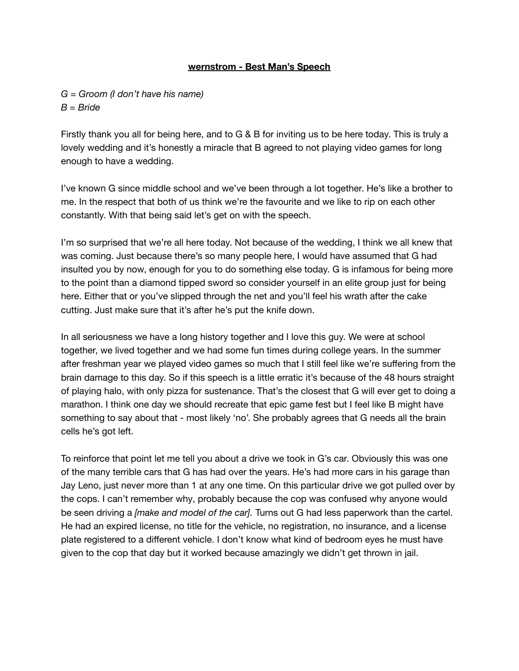## **wernstrom - Best Man's Speech**

*G = Groom (I don't have his name) B = Bride*

Firstly thank you all for being here, and to G & B for inviting us to be here today. This is truly a lovely wedding and it's honestly a miracle that B agreed to not playing video games for long enough to have a wedding.

I've known G since middle school and we've been through a lot together. He's like a brother to me. In the respect that both of us think we're the favourite and we like to rip on each other constantly. With that being said let's get on with the speech.

I'm so surprised that we're all here today. Not because of the wedding, I think we all knew that was coming. Just because there's so many people here, I would have assumed that G had insulted you by now, enough for you to do something else today. G is infamous for being more to the point than a diamond tipped sword so consider yourself in an elite group just for being here. Either that or you've slipped through the net and you'll feel his wrath after the cake cutting. Just make sure that it's after he's put the knife down.

In all seriousness we have a long history together and I love this guy. We were at school together, we lived together and we had some fun times during college years. In the summer after freshman year we played video games so much that I still feel like we're suffering from the brain damage to this day. So if this speech is a little erratic it's because of the 48 hours straight of playing halo, with only pizza for sustenance. That's the closest that G will ever get to doing a marathon. I think one day we should recreate that epic game fest but I feel like B might have something to say about that - most likely 'no'. She probably agrees that G needs all the brain cells he's got left.

To reinforce that point let me tell you about a drive we took in G's car. Obviously this was one of the many terrible cars that G has had over the years. He's had more cars in his garage than Jay Leno, just never more than 1 at any one time. On this particular drive we got pulled over by the cops. I can't remember why, probably because the cop was confused why anyone would be seen driving a *[make and model of the car].* Turns out G had less paperwork than the cartel. He had an expired license, no title for the vehicle, no registration, no insurance, and a license plate registered to a different vehicle. I don't know what kind of bedroom eyes he must have given to the cop that day but it worked because amazingly we didn't get thrown in jail.